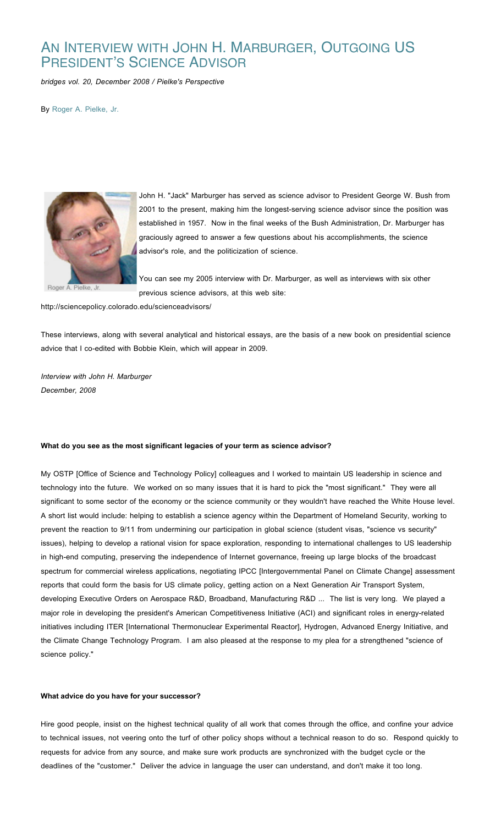# AN INTERVIEW WITH JOHN H. MARBURGER, OUTGOING US PRESIDENT'S SCIENCE ADVISOR

*bridges vol. 20, December 2008 / Pielke's Perspective*

By Roger A. Pielke, Jr.



John H. "Jack" Marburger has served as science advisor to President George W. Bush from 2001 to the present, making him the longest-serving science advisor since the position was established in 1957. Now in the final weeks of the Bush Administration, Dr. Marburger has graciously agreed to answer a few questions about his accomplishments, the science advisor's role, and the politicization of science.

You can see my 2005 interview with Dr. Marburger, as well as interviews with six other previous science advisors, at this web site:

http://sciencepolicy.colorado.edu/scienceadvisors/

These interviews, along with several analytical and historical essays, are the basis of a new book on presidential science advice that I co-edited with Bobbie Klein, which will appear in 2009.

*Interview with John H. Marburger December, 2008*

#### **What do you see as the most significant legacies of your term as science advisor?**

My OSTP [Office of Science and Technology Policy] colleagues and I worked to maintain US leadership in science and technology into the future. We worked on so many issues that it is hard to pick the "most significant." They were all significant to some sector of the economy or the science community or they wouldn't have reached the White House level. A short list would include: helping to establish a science agency within the Department of Homeland Security, working to prevent the reaction to 9/11 from undermining our participation in global science (student visas, "science vs security" issues), helping to develop a rational vision for space exploration, responding to international challenges to US leadership in high-end computing, preserving the independence of Internet governance, freeing up large blocks of the broadcast spectrum for commercial wireless applications, negotiating IPCC [Intergovernmental Panel on Climate Change] assessment reports that could form the basis for US climate policy, getting action on a Next Generation Air Transport System, developing Executive Orders on Aerospace R&D, Broadband, Manufacturing R&D ... The list is very long. We played a major role in developing the president's American Competitiveness Initiative (ACI) and significant roles in energy-related initiatives including ITER [International Thermonuclear Experimental Reactor], Hydrogen, Advanced Energy Initiative, and the Climate Change Technology Program. I am also pleased at the response to my plea for a strengthened "science of science policy."

## **What advice do you have for your successor?**

Hire good people, insist on the highest technical quality of all work that comes through the office, and confine your advice to technical issues, not veering onto the turf of other policy shops without a technical reason to do so. Respond quickly to requests for advice from any source, and make sure work products are synchronized with the budget cycle or the deadlines of the "customer." Deliver the advice in language the user can understand, and don't make it too long.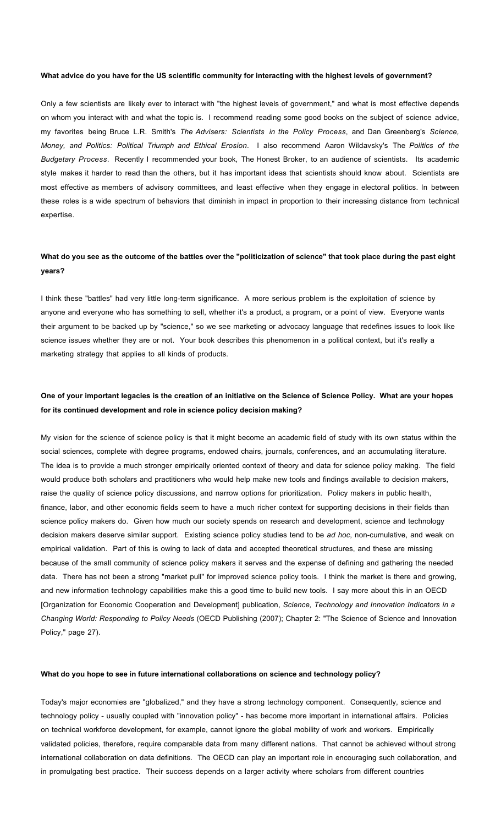### **What advice do you have for the US scientific community for interacting with the highest levels of government?**

Only a few scientists are likely ever to interact with "the highest levels of government," and what is most effective depends on whom you interact with and what the topic is. I recommend reading some good books on the subject of science advice, my favorites being Bruce L.R. Smith's *The Advisers: Scientists in the Policy Process*, and Dan Greenberg's *Science, Money, and Politics: Political Triumph and Ethical Erosion*. I also recommend Aaron Wildavsky's The *Politics of the Budgetary Process*. Recently I recommended your book, The Honest Broker, to an audience of scientists. Its academic style makes it harder to read than the others, but it has important ideas that scientists should know about. Scientists are most effective as members of advisory committees, and least effective when they engage in electoral politics. In between these roles is a wide spectrum of behaviors that diminish in impact in proportion to their increasing distance from technical expertise.

## **What do you see as the outcome of the battles over the "politicization of science" that took place during the past eight years?**

I think these "battles" had very little long-term significance. A more serious problem is the exploitation of science by anyone and everyone who has something to sell, whether it's a product, a program, or a point of view. Everyone wants their argument to be backed up by "science," so we see marketing or advocacy language that redefines issues to look like science issues whether they are or not. Your book describes this phenomenon in a political context, but it's really a marketing strategy that applies to all kinds of products.

## **One of your important legacies is the creation of an initiative on the Science of Science Policy. What are your hopes for its continued development and role in science policy decision making?**

My vision for the science of science policy is that it might become an academic field of study with its own status within the social sciences, complete with degree programs, endowed chairs, journals, conferences, and an accumulating literature. The idea is to provide a much stronger empirically oriented context of theory and data for science policy making. The field would produce both scholars and practitioners who would help make new tools and findings available to decision makers, raise the quality of science policy discussions, and narrow options for prioritization. Policy makers in public health, finance, labor, and other economic fields seem to have a much richer context for supporting decisions in their fields than science policy makers do. Given how much our society spends on research and development, science and technology decision makers deserve similar support. Existing science policy studies tend to be *ad hoc*, non-cumulative, and weak on empirical validation. Part of this is owing to lack of data and accepted theoretical structures, and these are missing because of the small community of science policy makers it serves and the expense of defining and gathering the needed data. There has not been a strong "market pull" for improved science policy tools. I think the market is there and growing, and new information technology capabilities make this a good time to build new tools. I say more about this in an OECD [Organization for Economic Cooperation and Development] publication, *Science, Technology and Innovation Indicators in a Changing World: Responding to Policy Needs* (OECD Publishing (2007); Chapter 2: "The Science of Science and Innovation Policy," page 27).

#### **What do you hope to see in future international collaborations on science and technology policy?**

Today's major economies are "globalized," and they have a strong technology component. Consequently, science and technology policy - usually coupled with "innovation policy" - has become more important in international affairs. Policies on technical workforce development, for example, cannot ignore the global mobility of work and workers. Empirically validated policies, therefore, require comparable data from many different nations. That cannot be achieved without strong international collaboration on data definitions. The OECD can play an important role in encouraging such collaboration, and in promulgating best practice. Their success depends on a larger activity where scholars from different countries